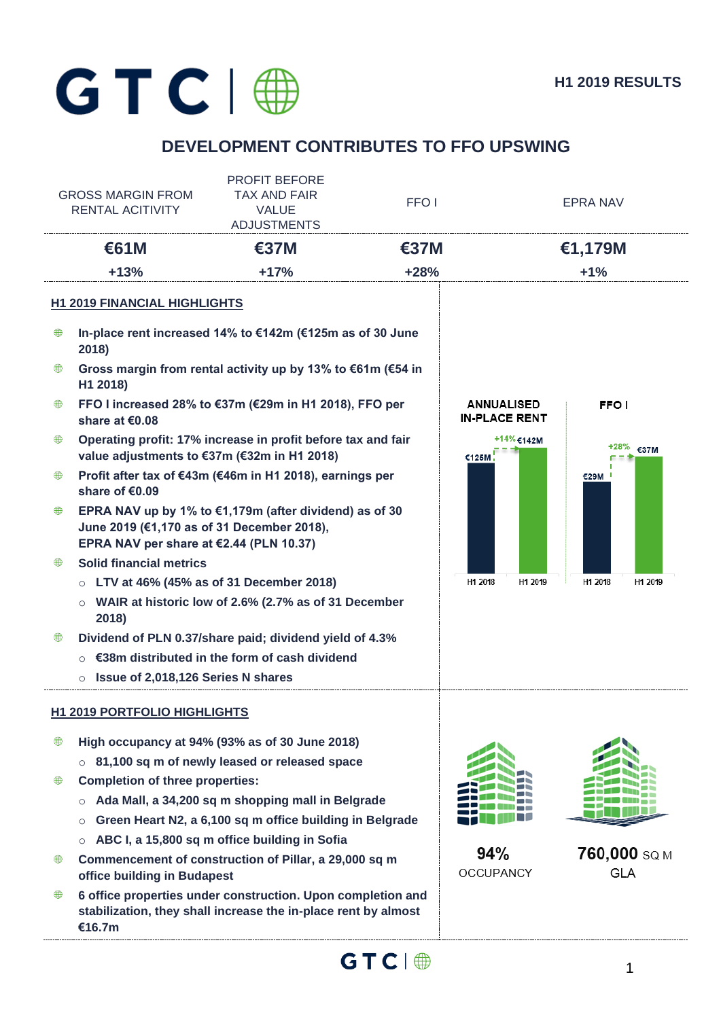# $GTC | @$

# **DEVELOPMENT CONTRIBUTES TO FFO UPSWING**

| <b>GROSS MARGIN FROM</b><br><b>RENTAL ACITIVITY</b> |                                                                                       | <b>PROFIT BEFORE</b><br><b>TAX AND FAIR</b><br><b>VALUE</b><br><b>ADJUSTMENTS</b>                                             | FFO <sub>1</sub> |                                           | <b>EPRA NAV</b>            |  |
|-----------------------------------------------------|---------------------------------------------------------------------------------------|-------------------------------------------------------------------------------------------------------------------------------|------------------|-------------------------------------------|----------------------------|--|
| €61M                                                |                                                                                       | <b>€37M</b>                                                                                                                   | €37M             |                                           | €1,179M                    |  |
|                                                     | $+13%$                                                                                | $+17%$                                                                                                                        | $+28%$           |                                           | $+1%$                      |  |
|                                                     | <b>H1 2019 FINANCIAL HIGHLIGHTS</b>                                                   |                                                                                                                               |                  |                                           |                            |  |
| ₩                                                   | 2018)                                                                                 | In-place rent increased 14% to €142m (€125m as of 30 June                                                                     |                  |                                           |                            |  |
| ₩                                                   | H1 2018)                                                                              | Gross margin from rental activity up by 13% to €61m (€54 in                                                                   |                  |                                           |                            |  |
| ₩                                                   | share at €0.08                                                                        | FFO I increased 28% to €37m (€29m in H1 2018), FFO per                                                                        |                  | <b>ANNUALISED</b><br><b>IN-PLACE RENT</b> | FFO I                      |  |
| ⊕                                                   | value adjustments to €37m (€32m in H1 2018)                                           | Operating profit: 17% increase in profit before tax and fair                                                                  |                  | +14% €142M<br>€125M                       | €37M                       |  |
| ₩                                                   | share of €0.09                                                                        | Profit after tax of €43m (€46m in H1 2018), earnings per                                                                      |                  |                                           | €29M                       |  |
| ₩                                                   | June 2019 (€1,170 as of 31 December 2018),<br>EPRA NAV per share at €2.44 (PLN 10.37) | EPRA NAV up by 1% to $€1,179m$ (after dividend) as of 30                                                                      |                  |                                           |                            |  |
| ∰                                                   | <b>Solid financial metrics</b>                                                        |                                                                                                                               |                  |                                           |                            |  |
|                                                     |                                                                                       | LTV at 46% (45% as of 31 December 2018)                                                                                       |                  | H1 2018<br>H1 2019                        | H1 2018<br>H1 2019         |  |
|                                                     | $\circ$<br>2018)                                                                      | WAIR at historic low of 2.6% (2.7% as of 31 December                                                                          |                  |                                           |                            |  |
| ₩                                                   |                                                                                       | Dividend of PLN 0.37/share paid; dividend yield of 4.3%                                                                       |                  |                                           |                            |  |
|                                                     |                                                                                       | ○ $\epsilon$ 38m distributed in the form of cash dividend                                                                     |                  |                                           |                            |  |
|                                                     | Issue of 2,018,126 Series N shares<br>$\circ$                                         |                                                                                                                               |                  |                                           |                            |  |
|                                                     | <b>H1 2019 PORTFOLIO HIGHLIGHTS</b>                                                   |                                                                                                                               |                  |                                           |                            |  |
| ₩                                                   |                                                                                       | High occupancy at 94% (93% as of 30 June 2018)                                                                                |                  |                                           |                            |  |
|                                                     |                                                                                       | $\circ$ 81,100 sq m of newly leased or released space                                                                         |                  |                                           |                            |  |
| ₩                                                   | <b>Completion of three properties:</b>                                                |                                                                                                                               |                  |                                           |                            |  |
|                                                     | $\circ$                                                                               | Ada Mall, a 34,200 sq m shopping mall in Belgrade                                                                             |                  |                                           |                            |  |
|                                                     | $\circ$                                                                               | Green Heart N2, a 6,100 sq m office building in Belgrade                                                                      |                  |                                           |                            |  |
|                                                     |                                                                                       | ABC I, a 15,800 sq m office building in Sofia                                                                                 |                  |                                           |                            |  |
| ⊕                                                   | office building in Budapest                                                           | Commencement of construction of Pillar, a 29,000 sq m                                                                         |                  | 94%<br><b>OCCUPANCY</b>                   | 760,000 SQ M<br><b>GLA</b> |  |
| ₩                                                   | €16.7m                                                                                | 6 office properties under construction. Upon completion and<br>stabilization, they shall increase the in-place rent by almost |                  |                                           |                            |  |

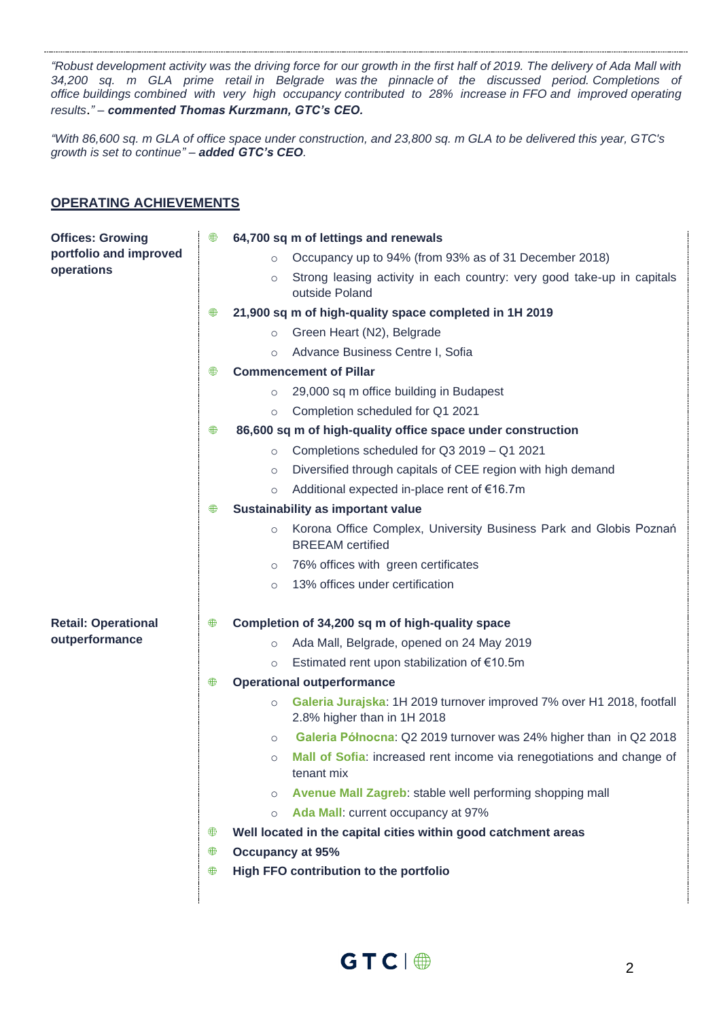*"Robust development activity was the driving force for our growth in the first half of 2019. The delivery of Ada Mall with 34,200 sq. m GLA prime retail in Belgrade was the pinnacle of the discussed period. Completions of office buildings combined with very high occupancy contributed to 28% increase in FFO and improved operating results*.*" – commented Thomas Kurzmann, GTC's CEO.*

*"With 86,600 sq. m GLA of office space under construction, and 23,800 sq. m GLA to be delivered this year, GTC's growth is set to continue" – added GTC's CEO.*

#### **OPERATING ACHIEVEMENTS**

| <b>Offices: Growing</b>    | ⊕ | 64,700 sq m of lettings and renewals                                                                            |  |  |  |
|----------------------------|---|-----------------------------------------------------------------------------------------------------------------|--|--|--|
| portfolio and improved     |   | Occupancy up to 94% (from 93% as of 31 December 2018)<br>$\circ$                                                |  |  |  |
| operations                 |   | Strong leasing activity in each country: very good take-up in capitals<br>$\circ$<br>outside Poland             |  |  |  |
|                            | ⊕ | 21,900 sq m of high-quality space completed in 1H 2019                                                          |  |  |  |
|                            |   | Green Heart (N2), Belgrade<br>$\circ$                                                                           |  |  |  |
|                            |   | Advance Business Centre I, Sofia<br>$\circ$                                                                     |  |  |  |
|                            | ⊕ | <b>Commencement of Pillar</b>                                                                                   |  |  |  |
|                            |   | 29,000 sq m office building in Budapest<br>$\circ$                                                              |  |  |  |
|                            |   | Completion scheduled for Q1 2021<br>$\circ$                                                                     |  |  |  |
|                            | ⊕ | 86,600 sq m of high-quality office space under construction                                                     |  |  |  |
|                            |   | Completions scheduled for Q3 2019 - Q1 2021<br>$\circ$                                                          |  |  |  |
|                            |   | Diversified through capitals of CEE region with high demand<br>$\circ$                                          |  |  |  |
|                            |   | Additional expected in-place rent of €16.7m<br>$\circ$                                                          |  |  |  |
|                            | ₩ | Sustainability as important value                                                                               |  |  |  |
|                            |   | Korona Office Complex, University Business Park and Globis Poznań<br>$\circ$<br><b>BREEAM</b> certified         |  |  |  |
|                            |   | 76% offices with green certificates<br>$\circ$                                                                  |  |  |  |
|                            |   | 13% offices under certification<br>$\circ$                                                                      |  |  |  |
| <b>Retail: Operational</b> | ⊕ | Completion of 34,200 sq m of high-quality space                                                                 |  |  |  |
| outperformance             |   | Ada Mall, Belgrade, opened on 24 May 2019<br>$\circ$                                                            |  |  |  |
|                            |   | Estimated rent upon stabilization of €10.5m<br>$\circ$                                                          |  |  |  |
|                            | ⊕ | <b>Operational outperformance</b>                                                                               |  |  |  |
|                            |   | Galeria Jurajska: 1H 2019 turnover improved 7% over H1 2018, footfall<br>$\circ$<br>2.8% higher than in 1H 2018 |  |  |  |
|                            |   | Galeria Północna: Q2 2019 turnover was 24% higher than in Q2 2018<br>$\circ$                                    |  |  |  |
|                            |   | Mall of Sofia: increased rent income via renegotiations and change of<br>$\circ$<br>tenant mix                  |  |  |  |
|                            |   | Avenue Mall Zagreb: stable well performing shopping mall<br>$\circ$                                             |  |  |  |
|                            |   | Ada Mall: current occupancy at 97%<br>$\circ$                                                                   |  |  |  |
|                            | ⊕ | Well located in the capital cities within good catchment areas                                                  |  |  |  |
|                            |   | <b>Occupancy at 95%</b>                                                                                         |  |  |  |
|                            | ⊕ | High FFO contribution to the portfolio                                                                          |  |  |  |
|                            |   |                                                                                                                 |  |  |  |

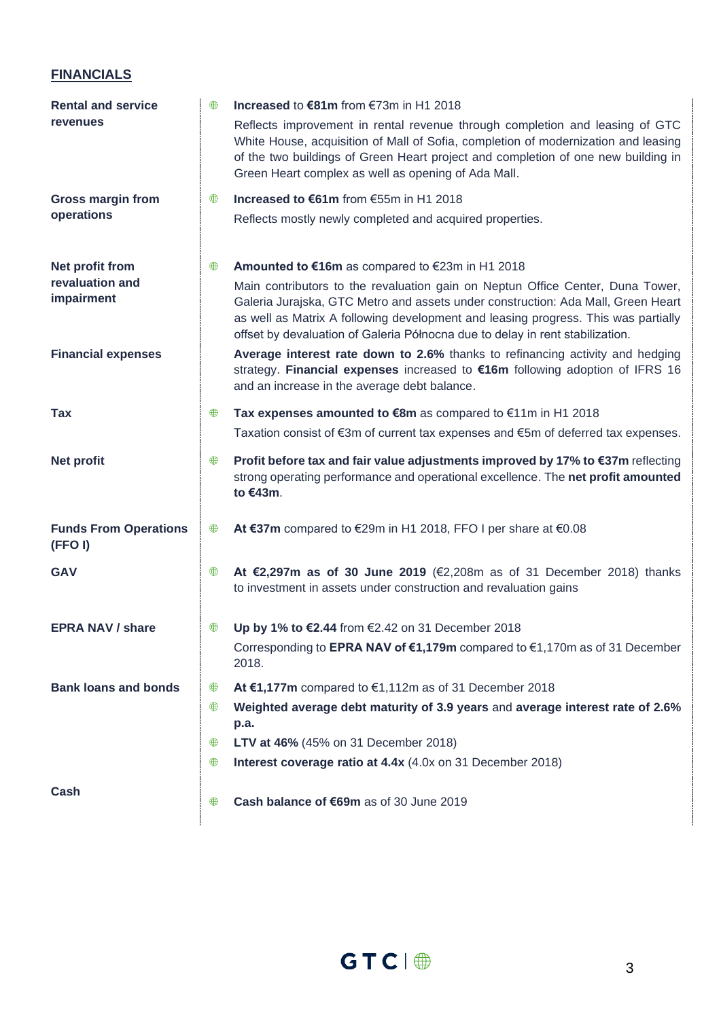## **FINANCIALS**

| <b>Rental and service</b>              | ⊕ | Increased to €81m from €73m in H1 2018                                                                                                                                                                                                                                                                                                    |
|----------------------------------------|---|-------------------------------------------------------------------------------------------------------------------------------------------------------------------------------------------------------------------------------------------------------------------------------------------------------------------------------------------|
| revenues                               |   | Reflects improvement in rental revenue through completion and leasing of GTC<br>White House, acquisition of Mall of Sofia, completion of modernization and leasing<br>of the two buildings of Green Heart project and completion of one new building in<br>Green Heart complex as well as opening of Ada Mall.                            |
| <b>Gross margin from</b>               | ₩ | Increased to €61m from €55m in H1 2018                                                                                                                                                                                                                                                                                                    |
| operations                             |   | Reflects mostly newly completed and acquired properties.                                                                                                                                                                                                                                                                                  |
| Net profit from                        | ₩ | Amounted to €16m as compared to €23m in H1 2018                                                                                                                                                                                                                                                                                           |
| revaluation and<br>impairment          |   | Main contributors to the revaluation gain on Neptun Office Center, Duna Tower,<br>Galeria Jurajska, GTC Metro and assets under construction: Ada Mall, Green Heart<br>as well as Matrix A following development and leasing progress. This was partially<br>offset by devaluation of Galeria Północna due to delay in rent stabilization. |
| <b>Financial expenses</b>              |   | Average interest rate down to 2.6% thanks to refinancing activity and hedging<br>strategy. Financial expenses increased to €16m following adoption of IFRS 16<br>and an increase in the average debt balance.                                                                                                                             |
| Tax                                    | ⊕ | Tax expenses amounted to €8m as compared to €11m in H1 2018                                                                                                                                                                                                                                                                               |
|                                        |   | Taxation consist of €3m of current tax expenses and €5m of deferred tax expenses.                                                                                                                                                                                                                                                         |
| <b>Net profit</b>                      | ⊕ | Profit before tax and fair value adjustments improved by 17% to €37m reflecting<br>strong operating performance and operational excellence. The net profit amounted<br>to €43m.                                                                                                                                                           |
| <b>Funds From Operations</b><br>(FFOI) | ⊕ | At €37m compared to €29m in H1 2018, FFO I per share at €0.08                                                                                                                                                                                                                                                                             |
| <b>GAV</b>                             | ⊕ | At €2,297m as of 30 June 2019 (€2,208m as of 31 December 2018) thanks<br>to investment in assets under construction and revaluation gains                                                                                                                                                                                                 |
| <b>EPRA NAV / share</b>                | ₩ | Up by 1% to €2.44 from €2.42 on 31 December 2018                                                                                                                                                                                                                                                                                          |
|                                        |   | Corresponding to EPRA NAV of €1,179m compared to €1,170m as of 31 December<br>2018.                                                                                                                                                                                                                                                       |
| <b>Bank loans and bonds</b>            | ₩ | At €1,177m compared to $€1,112m$ as of 31 December 2018                                                                                                                                                                                                                                                                                   |
|                                        | ⊕ | Weighted average debt maturity of 3.9 years and average interest rate of 2.6%<br>p.a.                                                                                                                                                                                                                                                     |
|                                        | ₩ | LTV at 46% (45% on 31 December 2018)                                                                                                                                                                                                                                                                                                      |
|                                        | ⊕ | Interest coverage ratio at 4.4x (4.0x on 31 December 2018)                                                                                                                                                                                                                                                                                |
| Cash                                   | ₩ | Cash balance of €69m as of 30 June 2019                                                                                                                                                                                                                                                                                                   |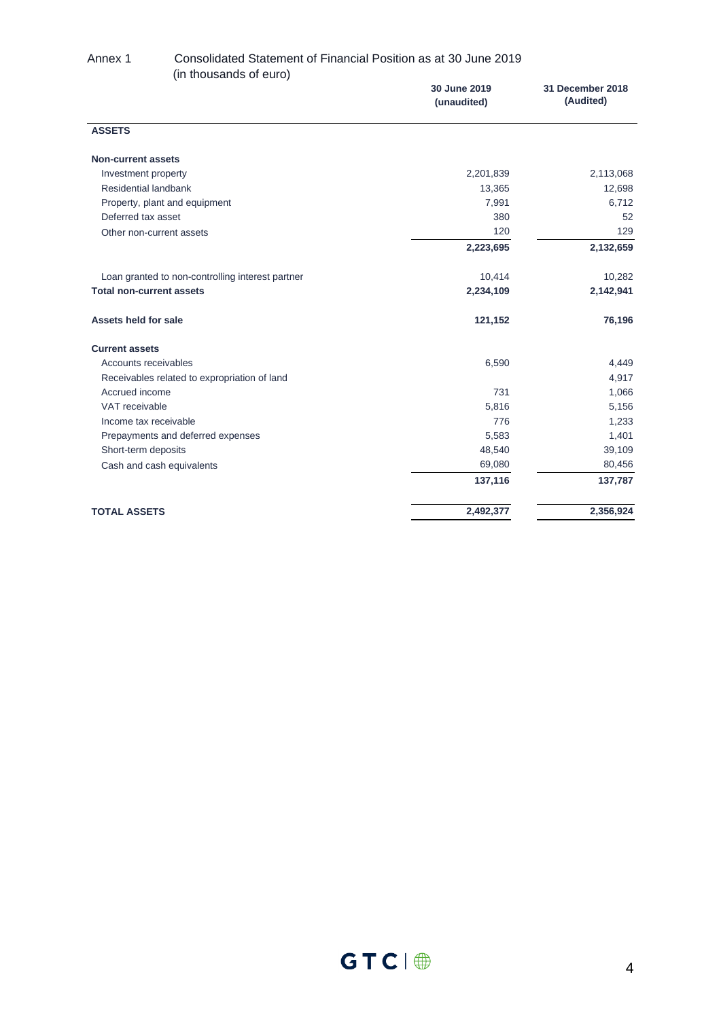#### Annex 1 Consolidated Statement of Financial Position as at 30 June 2019 (in thousands of euro)

|                                                  | 30 June 2019<br>(unaudited) | 31 December 2018<br>(Audited) |
|--------------------------------------------------|-----------------------------|-------------------------------|
| <b>ASSETS</b>                                    |                             |                               |
| <b>Non-current assets</b>                        |                             |                               |
| Investment property                              | 2,201,839                   | 2,113,068                     |
| Residential landbank                             | 13,365                      | 12,698                        |
| Property, plant and equipment                    | 7,991                       | 6,712                         |
| Deferred tax asset                               | 380                         | 52                            |
| Other non-current assets                         | 120                         | 129                           |
|                                                  | 2,223,695                   | 2,132,659                     |
| Loan granted to non-controlling interest partner | 10,414                      | 10,282                        |
| <b>Total non-current assets</b>                  | 2,234,109                   | 2,142,941                     |
| Assets held for sale                             | 121,152                     | 76,196                        |
| <b>Current assets</b>                            |                             |                               |
| Accounts receivables                             | 6,590                       | 4,449                         |
| Receivables related to expropriation of land     |                             | 4,917                         |
| Accrued income                                   | 731                         | 1,066                         |
| VAT receivable                                   | 5,816                       | 5,156                         |
| Income tax receivable                            | 776                         | 1,233                         |
| Prepayments and deferred expenses                | 5,583                       | 1,401                         |
| Short-term deposits                              | 48,540                      | 39,109                        |
| Cash and cash equivalents                        | 69,080                      | 80,456                        |
|                                                  | 137,116                     | 137,787                       |
| <b>TOTAL ASSETS</b>                              | 2,492,377                   | 2,356,924                     |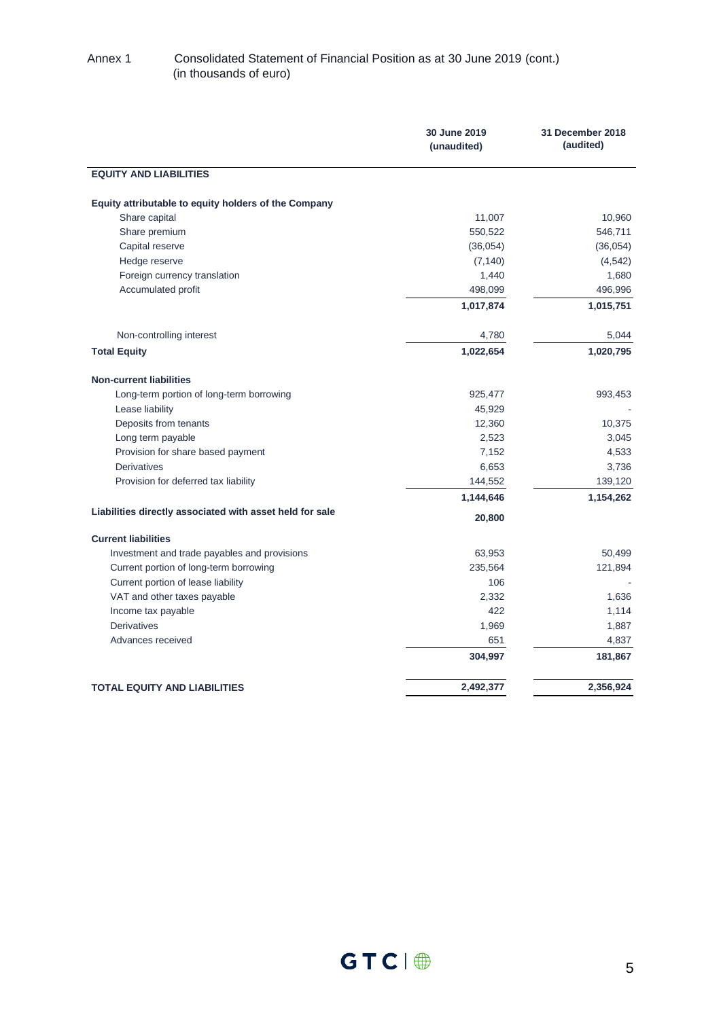#### Annex 1 Consolidated Statement of Financial Position as at 30 June 2019 (cont.) (in thousands of euro)

|                                                          | 30 June 2019<br>(unaudited) | 31 December 2018<br>(audited) |
|----------------------------------------------------------|-----------------------------|-------------------------------|
| <b>EQUITY AND LIABILITIES</b>                            |                             |                               |
| Equity attributable to equity holders of the Company     |                             |                               |
| Share capital                                            | 11,007                      | 10,960                        |
| Share premium                                            | 550,522                     | 546,711                       |
| Capital reserve                                          | (36,054)                    | (36,054)                      |
| Hedge reserve                                            | (7, 140)                    | (4, 542)                      |
| Foreign currency translation                             | 1,440                       | 1,680                         |
| Accumulated profit                                       | 498,099                     | 496,996                       |
|                                                          | 1,017,874                   | 1,015,751                     |
| Non-controlling interest                                 | 4,780                       | 5,044                         |
| <b>Total Equity</b>                                      | 1,022,654                   | 1,020,795                     |
| <b>Non-current liabilities</b>                           |                             |                               |
| Long-term portion of long-term borrowing                 | 925,477                     | 993,453                       |
| Lease liability                                          | 45,929                      |                               |
| Deposits from tenants                                    | 12,360                      | 10,375                        |
| Long term payable                                        | 2,523                       | 3,045                         |
| Provision for share based payment                        | 7,152                       | 4,533                         |
| <b>Derivatives</b>                                       | 6,653                       | 3,736                         |
| Provision for deferred tax liability                     | 144,552                     | 139,120                       |
|                                                          | 1,144,646                   | 1,154,262                     |
| Liabilities directly associated with asset held for sale | 20,800                      |                               |
| <b>Current liabilities</b>                               |                             |                               |
| Investment and trade payables and provisions             | 63,953                      | 50,499                        |
| Current portion of long-term borrowing                   | 235,564                     | 121,894                       |
| Current portion of lease liability                       | 106                         |                               |
| VAT and other taxes payable                              | 2,332                       | 1,636                         |
| Income tax payable                                       | 422                         | 1,114                         |
| <b>Derivatives</b>                                       | 1,969                       | 1,887                         |
| Advances received                                        | 651                         | 4,837                         |
|                                                          | 304,997                     | 181,867                       |
| <b>TOTAL EQUITY AND LIABILITIES</b>                      | 2,492,377                   | 2,356,924                     |
|                                                          |                             |                               |

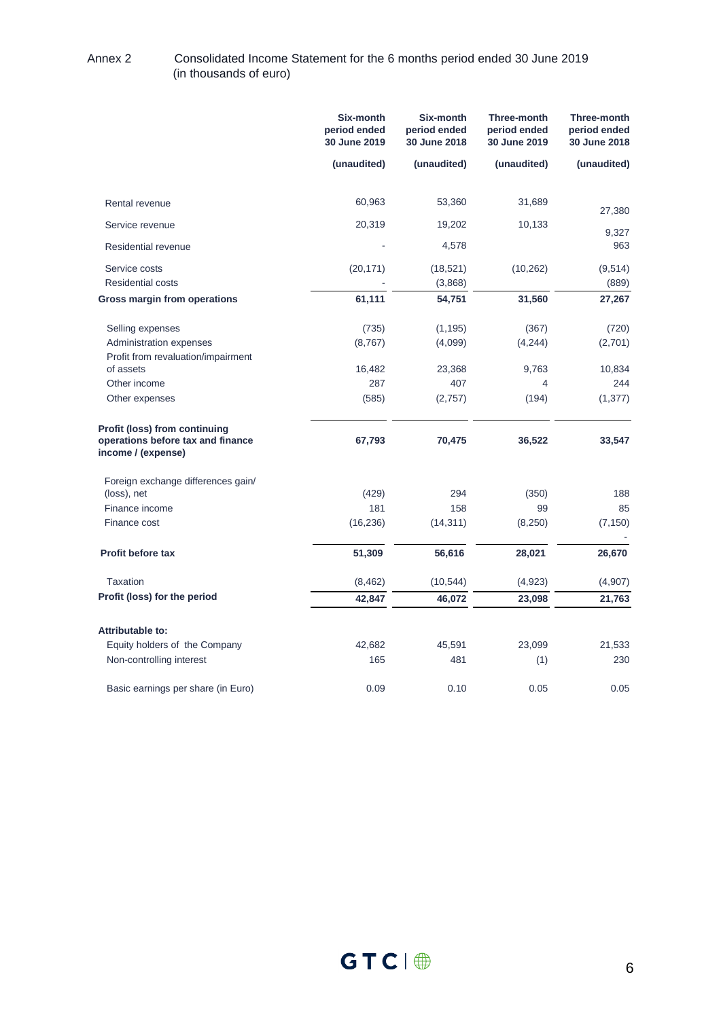#### Annex 2 Consolidated Income Statement for the 6 months period ended 30 June 2019 (in thousands of euro)

|                                                                                                 | Six-month<br>period ended<br>30 June 2019 | Six-month<br>period ended<br>30 June 2018 | <b>Three-month</b><br>period ended<br>30 June 2019 | <b>Three-month</b><br>period ended<br>30 June 2018 |
|-------------------------------------------------------------------------------------------------|-------------------------------------------|-------------------------------------------|----------------------------------------------------|----------------------------------------------------|
|                                                                                                 | (unaudited)                               | (unaudited)                               | (unaudited)                                        | (unaudited)                                        |
| Rental revenue                                                                                  | 60,963                                    | 53,360                                    | 31,689                                             |                                                    |
| Service revenue                                                                                 | 20,319                                    | 19,202                                    | 10,133                                             | 27,380                                             |
| Residential revenue                                                                             |                                           | 4,578                                     |                                                    | 9,327<br>963                                       |
| Service costs<br><b>Residential costs</b>                                                       | (20, 171)                                 | (18, 521)<br>(3,868)                      | (10, 262)                                          | (9,514)<br>(889)                                   |
| Gross margin from operations                                                                    | 61,111                                    | 54,751                                    | 31,560                                             | 27,267                                             |
| Selling expenses<br>Administration expenses<br>Profit from revaluation/impairment               | (735)<br>(8,767)                          | (1, 195)<br>(4,099)                       | (367)<br>(4, 244)                                  | (720)<br>(2,701)                                   |
| of assets                                                                                       | 16,482                                    | 23,368                                    | 9,763                                              | 10,834                                             |
| Other income                                                                                    | 287                                       | 407                                       | 4                                                  | 244                                                |
| Other expenses                                                                                  | (585)                                     | (2,757)                                   | (194)                                              | (1, 377)                                           |
| <b>Profit (loss) from continuing</b><br>operations before tax and finance<br>income / (expense) | 67,793                                    | 70,475                                    | 36,522                                             | 33,547                                             |
| Foreign exchange differences gain/<br>(loss), net                                               | (429)                                     | 294                                       | (350)                                              | 188                                                |
| Finance income                                                                                  | 181                                       | 158                                       | 99                                                 | 85                                                 |
| Finance cost                                                                                    | (16, 236)                                 | (14, 311)                                 | (8,250)                                            | (7, 150)                                           |
| <b>Profit before tax</b>                                                                        | 51,309                                    | 56,616                                    | 28,021                                             | 26,670                                             |
| <b>Taxation</b>                                                                                 | (8, 462)                                  | (10, 544)                                 | (4,923)                                            | (4,907)                                            |
| Profit (loss) for the period                                                                    | 42,847                                    | 46,072                                    | 23,098                                             | 21,763                                             |
| Attributable to:                                                                                |                                           |                                           |                                                    |                                                    |
| Equity holders of the Company                                                                   | 42,682                                    | 45,591                                    | 23,099                                             | 21,533                                             |
| Non-controlling interest                                                                        | 165                                       | 481                                       | (1)                                                | 230                                                |
| Basic earnings per share (in Euro)                                                              | 0.09                                      | 0.10                                      | 0.05                                               | 0.05                                               |

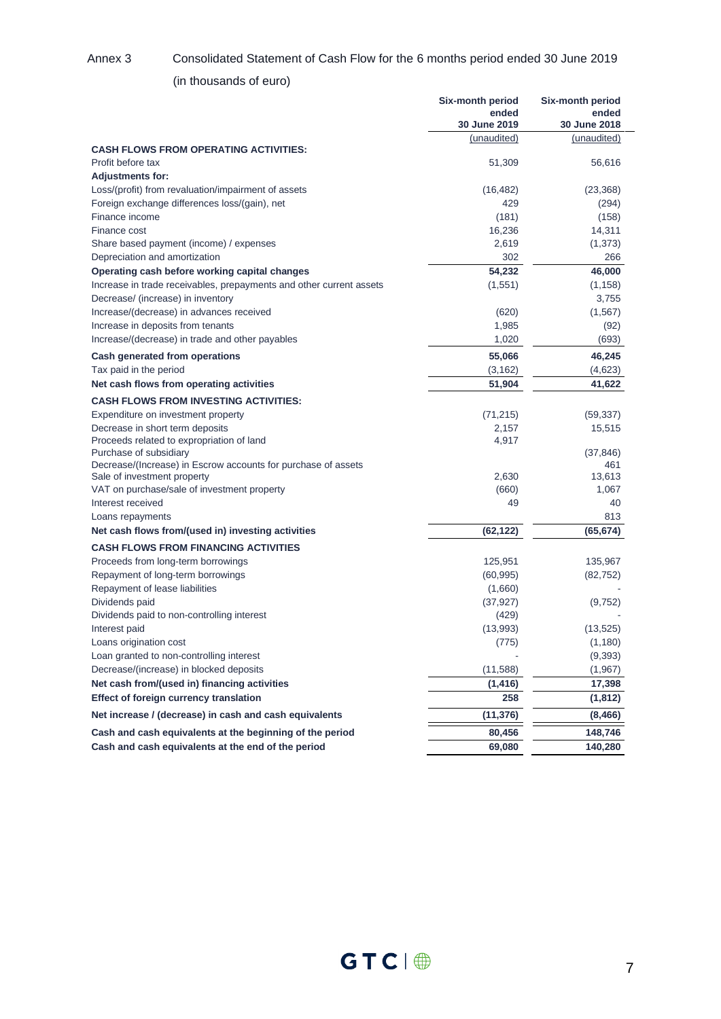#### Annex 3 Consolidated Statement of Cash Flow for the 6 months period ended 30 June 2019

### (in thousands of euro)

|                                                                     | Six-month period<br>ended<br>30 June 2019 | Six-month period<br>ended<br>30 June 2018 |
|---------------------------------------------------------------------|-------------------------------------------|-------------------------------------------|
|                                                                     | (unaudited)                               | (unaudited)                               |
| <b>CASH FLOWS FROM OPERATING ACTIVITIES:</b>                        |                                           |                                           |
| Profit before tax                                                   | 51,309                                    | 56,616                                    |
| <b>Adjustments for:</b>                                             |                                           |                                           |
| Loss/(profit) from revaluation/impairment of assets                 | (16, 482)                                 | (23, 368)                                 |
| Foreign exchange differences loss/(gain), net                       | 429                                       | (294)                                     |
| Finance income                                                      | (181)                                     | (158)                                     |
| Finance cost                                                        | 16,236                                    | 14,311                                    |
| Share based payment (income) / expenses                             | 2,619                                     | (1,373)                                   |
| Depreciation and amortization                                       | 302                                       | 266                                       |
| Operating cash before working capital changes                       | 54,232                                    | 46,000                                    |
| Increase in trade receivables, prepayments and other current assets | (1, 551)                                  | (1, 158)                                  |
| Decrease/ (increase) in inventory                                   |                                           | 3,755                                     |
| Increase/(decrease) in advances received                            | (620)                                     | (1, 567)                                  |
| Increase in deposits from tenants                                   | 1,985                                     | (92)                                      |
| Increase/(decrease) in trade and other payables                     | 1,020                                     | (693)                                     |
| Cash generated from operations                                      | 55,066                                    | 46,245                                    |
| Tax paid in the period                                              | (3, 162)                                  | (4,623)                                   |
| Net cash flows from operating activities                            | 51,904                                    | 41,622                                    |
| <b>CASH FLOWS FROM INVESTING ACTIVITIES:</b>                        |                                           |                                           |
| Expenditure on investment property                                  | (71, 215)                                 | (59, 337)                                 |
| Decrease in short term deposits                                     | 2,157                                     | 15,515                                    |
| Proceeds related to expropriation of land                           | 4,917                                     |                                           |
| Purchase of subsidiary                                              |                                           | (37, 846)                                 |
| Decrease/(Increase) in Escrow accounts for purchase of assets       |                                           | 461                                       |
| Sale of investment property                                         | 2,630                                     | 13,613                                    |
| VAT on purchase/sale of investment property                         | (660)                                     | 1,067                                     |
| Interest received                                                   | 49                                        | 40                                        |
| Loans repayments                                                    |                                           | 813                                       |
| Net cash flows from/(used in) investing activities                  | (62, 122)                                 | (65, 674)                                 |
| <b>CASH FLOWS FROM FINANCING ACTIVITIES</b>                         |                                           |                                           |
| Proceeds from long-term borrowings                                  | 125,951                                   | 135,967                                   |
| Repayment of long-term borrowings                                   | (60, 995)                                 | (82, 752)                                 |
| Repayment of lease liabilities                                      | (1,660)                                   |                                           |
| Dividends paid                                                      | (37, 927)                                 | (9, 752)                                  |
| Dividends paid to non-controlling interest                          | (429)                                     |                                           |
| Interest paid                                                       | (13,993)                                  | (13, 525)                                 |
| Loans origination cost                                              | (7/5)                                     | (1,180)                                   |
| Loan granted to non-controlling interest                            |                                           | (9, 393)                                  |
| Decrease/(increase) in blocked deposits                             | (11,588)                                  | (1,967)                                   |
| Net cash from/(used in) financing activities                        | (1, 416)                                  | 17,398                                    |
| <b>Effect of foreign currency translation</b>                       | 258                                       | (1, 812)                                  |
| Net increase / (decrease) in cash and cash equivalents              | (11, 376)                                 | (8, 466)                                  |
| Cash and cash equivalents at the beginning of the period            | 80,456                                    | 148,746                                   |
| Cash and cash equivalents at the end of the period                  | 69,080                                    | 140,280                                   |